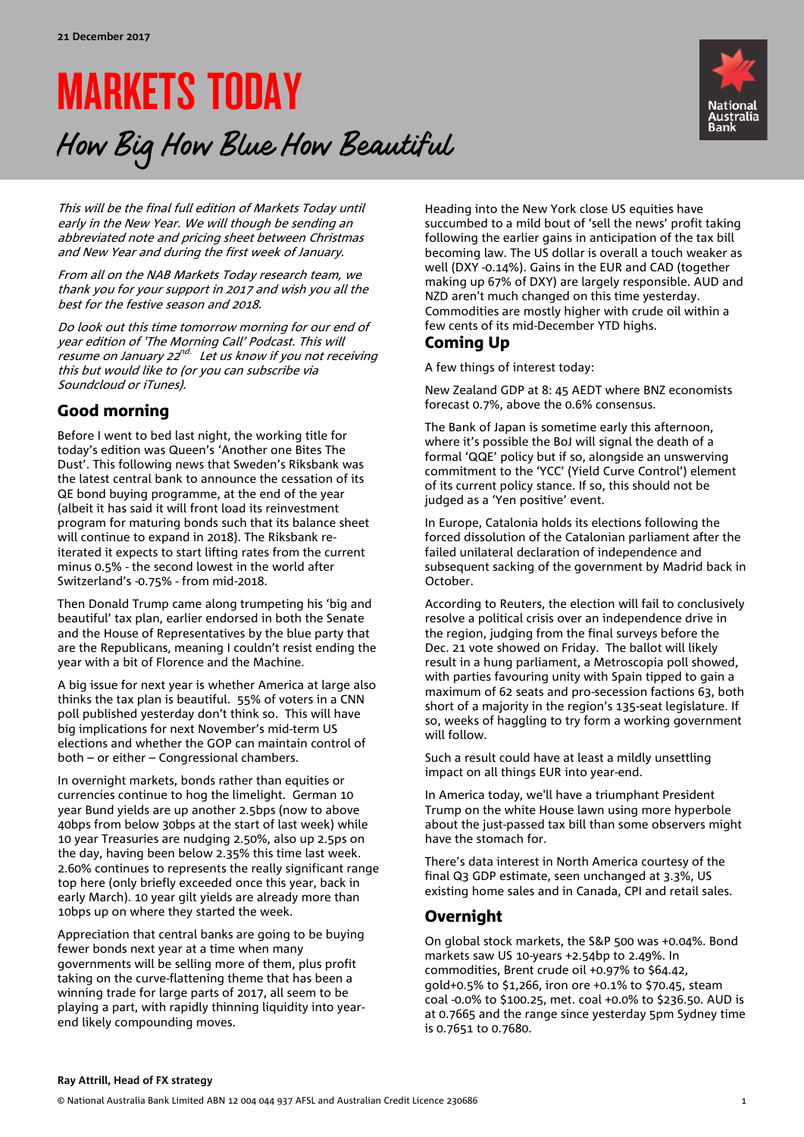# MARKETS TODAY How Big How Blue How Beautiful



This will be the final full edition of Markets Today until early in the New Year. We will though be sending an abbreviated note and pricing sheet between Christmas and New Year and during the first week of January.

From all on the NAB Markets Today research team, we thank you for your support in 2017 and wish you all the best for the festive season and 2018.

Do look out this time tomorrow morning for our end of year edition of 'The Morning Call' Podcast. This will resume on January 22<sup>nd.</sup> Let us know if you not receiving this but would like to (or you can subscribe via Soundcloud or iTunes).

# Good morning

Before I went to bed last night, the working title for today's edition was Queen's 'Another one Bites The Dust'. This following news that Sweden's Riksbank was the latest central bank to announce the cessation of its QE bond buying programme, at the end of the year (albeit it has said it will front load its reinvestment program for maturing bonds such that its balance sheet will continue to expand in 2018). The Riksbank reiterated it expects to start lifting rates from the current minus 0.5% - the second lowest in the world after Switzerland's -0.75% - from mid-2018.

Then Donald Trump came along trumpeting his 'big and beautiful' tax plan, earlier endorsed in both the Senate and the House of Representatives by the blue party that are the Republicans, meaning I couldn't resist ending the year with a bit of Florence and the Machine.

A big issue for next year is whether America at large also thinks the tax plan is beautiful. 55% of voters in a CNN poll published yesterday don't think so. This will have big implications for next November's mid-term US elections and whether the GOP can maintain control of both – or either – Congressional chambers.

In overnight markets, bonds rather than equities or currencies continue to hog the limelight. German 10 year Bund yields are up another 2.5bps (now to above 40bps from below 30bps at the start of last week) while 10 year Treasuries are nudging 2.50%, also up 2.5ps on the day, having been below 2.35% this time last week. 2.60% continues to represents the really significant range top here (only briefly exceeded once this year, back in early March). 10 year gilt yields are already more than 10bps up on where they started the week.

Appreciation that central banks are going to be buying fewer bonds next year at a time when many governments will be selling more of them, plus profit taking on the curve-flattening theme that has been a winning trade for large parts of 2017, all seem to be playing a part, with rapidly thinning liquidity into yearend likely compounding moves.

Heading into the New York close US equities have succumbed to a mild bout of 'sell the news' profit taking following the earlier gains in anticipation of the tax bill becoming law. The US dollar is overall a touch weaker as well (DXY -0.14%). Gains in the EUR and CAD (together making up 67% of DXY) are largely responsible. AUD and NZD aren't much changed on this time yesterday. Commodities are mostly higher with crude oil within a few cents of its mid-December YTD highs.

## Coming Up

A few things of interest today:

New Zealand GDP at 8: 45 AEDT where BNZ economists forecast 0.7%, above the 0.6% consensus.

The Bank of Japan is sometime early this afternoon, where it's possible the BoJ will signal the death of a formal 'QQE' policy but if so, alongside an unswerving commitment to the 'YCC' (Yield Curve Control') element of its current policy stance. If so, this should not be judged as a 'Yen positive' event.

In Europe, Catalonia holds its elections following the forced dissolution of the Catalonian parliament after the failed unilateral declaration of independence and subsequent sacking of the government by Madrid back in October.

According to Reuters, the election will fail to conclusively resolve a political crisis over an independence drive in the region, judging from the final surveys before the Dec. 21 vote showed on Friday. The ballot will likely result in a hung parliament, a Metroscopia poll showed, with parties favouring unity with Spain tipped to gain a maximum of 62 seats and pro-secession factions 63, both short of a majority in the region's 135-seat legislature. If so, weeks of haggling to try form a working government will follow.

Such a result could have at least a mildly unsettling impact on all things EUR into year-end.

In America today, we'll have a triumphant President Trump on the white House lawn using more hyperbole about the just-passed tax bill than some observers might have the stomach for.

There's data interest in North America courtesy of the final Q3 GDP estimate, seen unchanged at 3.3%, US existing home sales and in Canada, CPI and retail sales.

# Overnight

On global stock markets, the S&P 500 was +0.04%. Bond markets saw US 10-years +2.54bp to 2.49%. In commodities, Brent crude oil +0.97% to \$64.42, gold+0.5% to \$1,266, iron ore +0.1% to \$70.45, steam coal -0.0% to \$100.25, met. coal +0.0% to \$236.50. AUD is at 0.7665 and the range since yesterday 5pm Sydney time is 0.7651 to 0.7680.

#### **Ray Attrill, Head of FX strategy**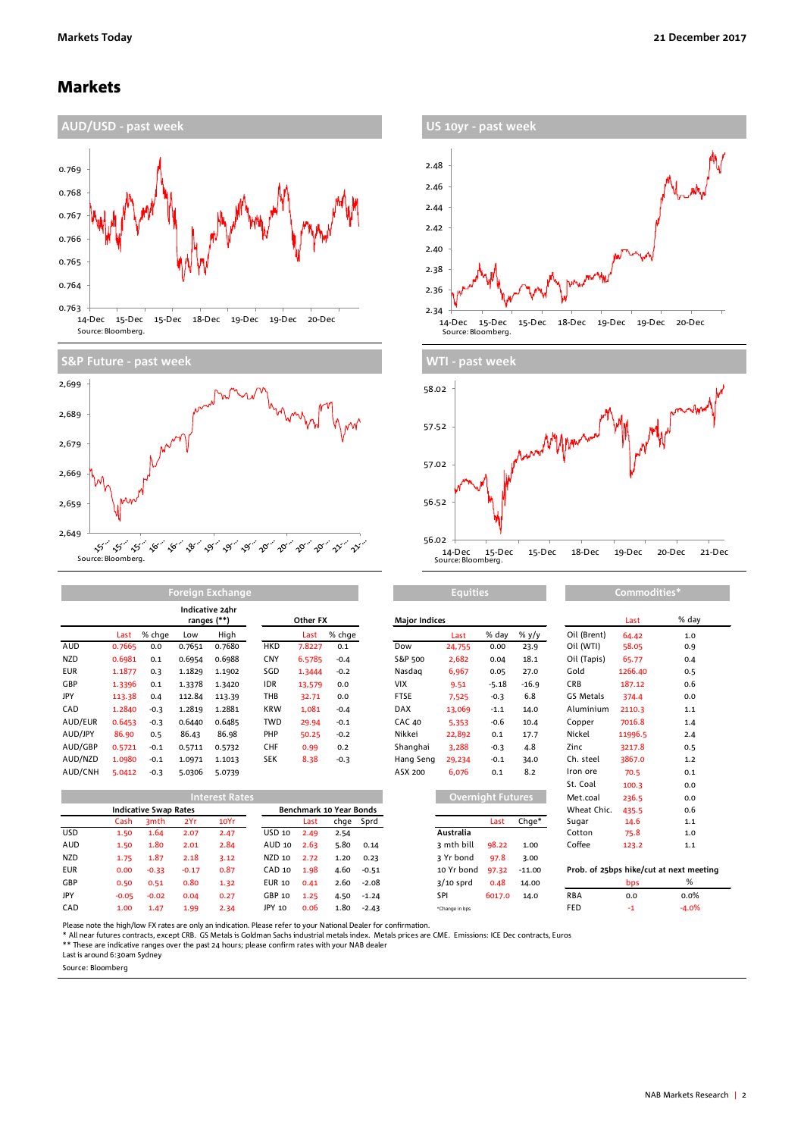### Markets









|            | Foreign Exchange |        |        |                                |            |          |        |                      | <b>Equities</b> |                |              |             | Commodities* |                 |  |  |
|------------|------------------|--------|--------|--------------------------------|------------|----------|--------|----------------------|-----------------|----------------|--------------|-------------|--------------|-----------------|--|--|
|            |                  |        |        | Indicative 24hr<br>ranges (**) |            | Other FX |        | <b>Major Indices</b> |                 |                |              | Last        | % da         |                 |  |  |
|            | Last             | % chge | Low    | High                           |            | Last     | % chge |                      | Last            | % day          | % y/y        | Oil (Brent) | 64.42        | 1.0             |  |  |
| AUD        | 0.7665           | 0.0    | 0.7651 | 0.7680                         | <b>HKD</b> | 7.8227   | 0.1    | Dow                  | 24,755          | 0.00           | 23.9         | Oil (WTI)   | 58.05        | 0.9             |  |  |
| <b>NZD</b> | 0.6981           | 0.1    | 0.6954 | 0.6988                         | CNY        | 6.5785   | $-0.4$ | S&P 500              | 2,682           | 0.04           | 18.1         | Oil (Tapis) | 65.77        | 0.4             |  |  |
| <b>EUR</b> | 1.1877           | 0.3    | 1.1829 | 1.1902                         | SGD        | 1.3444   | $-0.2$ | Nasdag               | 6,967           | 0.05           | 27.0         | Gold        | 1266.40      | 0.5             |  |  |
| GBP        | 1.3396           | 0.1    | 1.3378 | 1.3420                         | <b>IDR</b> | 13,579   | 0.0    | <b>VIX</b>           | 9.51            | $-5.18$        | $-16.9$      | <b>CRB</b>  | 187.12       | 0.6             |  |  |
| JPY        | 113.38           | 0.4    | 112.84 | 113.39                         | THB        | 32.71    | 0.0    | <b>FTSE</b>          | 7,525           | $-0.3$         | 6.8          | GS Metals   | 374.4        | 0. <sub>C</sub> |  |  |
| CAD        | 1.2840           | $-0.3$ | 1.2819 | 1.2881                         | <b>KRW</b> | 1,081    | $-0.4$ | <b>DAX</b>           | 13,069          | $-1.1$         | 14.0         | Aluminium   | 2110.3       | 1.1             |  |  |
| AUD/EUR    | 0.6453           | $-0.3$ | 0.6440 | 0.6485                         | <b>TWD</b> | 29.94    | $-0.1$ | <b>CAC 40</b>        | 5,353           | $-0.6$         | 10.4         | Copper      | 7016.8       | 1.4             |  |  |
| AUD/JPY    | 86.90            | 0.5    | 86.43  | 86.98                          | PHP        | 50.25    | $-0.2$ | Nikkei               | 22,892          | 0.1            | 17.7         | Nickel      | 11996.5      | 2.4             |  |  |
| AUD/GBP    | 0.5721           | $-0.1$ | 0.5711 | 0.5732                         | <b>CHF</b> | 0.99     | 0.2    | Shanghai             | 3,288           | $-0.3$         | 4.8          | Zinc        | 3217.8       | 0.5             |  |  |
| AUD/NZD    | 1.0980           | $-0.1$ | 1.0971 | 1.1013                         | <b>SEK</b> | 8.38     | $-0.3$ | Hang Seng            | 29,234          | $-0.1$         | 34.0         | Ch. steel   | 3867.0       | 1.2             |  |  |
| ALID/CNH   | <b>5 0412</b>    | $-02$  | 50206  | 5.0720                         |            |          |        | ASX 200              | 6.076           | 0 <sub>1</sub> | $\mathsf{R}$ | Iron ore    | <b>70 5</b>  | 0 <sub>1</sub>  |  |  |

|            |                              |                  |         | <b>Interest Rates</b>   |               |      |      |           |                | Overnight Futures, |             |            | 236.5 | 0.0                                     |
|------------|------------------------------|------------------|---------|-------------------------|---------------|------|------|-----------|----------------|--------------------|-------------|------------|-------|-----------------------------------------|
|            | <b>Indicative Swap Rates</b> |                  |         | Benchmark 10 Year Bonds |               |      |      |           |                |                    | Wheat Chic. | 435.5      | 0.6   |                                         |
|            | Cash                         | 3 <sub>mth</sub> | 2Yr     | 10Yr                    |               | Last |      | chge Sprd |                | Last               | Chge*       | Sugar      | 14.6  | 1.1                                     |
| USD.       | 1.50                         | 1.64             | 2.07    | 2.47                    | USD 10        | 2.49 | 2.54 |           | Australia      |                    |             | Cotton     | 75.8  | 1.0                                     |
| AUD        | 1.50                         | 1.80             | 2.01    | 2.84                    | AUD 10        | 2.63 | 5.80 | 0.14      | 3 mth bill     | 98.22              | 1.00        | Coffee     | 123.2 | 1.1                                     |
| <b>NZD</b> | 1.75                         | 1.87             | 2.18    | 3.12                    | NZD 10        | 2.72 | 1.20 | 0.23      | 3 Yr bond      | 97.8               | 3.00        |            |       |                                         |
| <b>EUR</b> | 0.00                         | $-0.33$          | $-0.17$ | 0.87                    | CAD 10        | 1.98 | 4.60 | $-0.51$   | 10 Yr bond     | 97.32              | $-11.00$    |            |       | Prob. of 25bps hike/cut at next meeting |
| GBP        | 0.50                         | 0.51             | 0.80    | 1.32                    | <b>EUR 10</b> | 0.41 | 2.60 | $-2.08$   | $3/10$ sprd    | 0.48               | 14.00       |            | bps   | %                                       |
| JPY        | $-0.05$                      | $-0.02$          | 0.04    | 0.27                    | GBP 10        | 1.25 | 4.50 | $-1.24$   | SPI            | 6017.0             | 14.0        | <b>RBA</b> | 0.0   | $0.0\%$                                 |
| CAD        | 1.00                         | 1.47             | 1.99    | 2.34                    | JPY 10        | 0.06 | 1.80 | $-2.43$   | *Change in bps |                    |             | FED        | -1    | $-4.0%$                                 |

|            |         | ranges (**)                  |         |                       | Other FX      |        |                         | <b>Major Indices</b> |               |             |                   |          | Last                               | % day   |       |
|------------|---------|------------------------------|---------|-----------------------|---------------|--------|-------------------------|----------------------|---------------|-------------|-------------------|----------|------------------------------------|---------|-------|
|            | Last    | % chge                       | Low     | High                  |               | Last   | % chge                  |                      |               | Last        | % day             | % $y/y$  | Oil (Brent)                        | 64.42   | 1.0   |
| AUD        | 0.7665  | 0.0                          | 0.7651  | 0.7680                | <b>HKD</b>    | 7.8227 | 0.1                     |                      | Dow           | 24,755      | 0.00              | 23.9     | Oil (WTI)                          | 58.05   | 0.9   |
| NZD        | 0.6981  | 0.1                          | 0.6954  | 0.6988                | CNY           | 6.5785 | $-0.4$                  |                      | S&P 500       | 2,682       | 0.04              | 18.1     | Oil (Tapis)                        | 65.77   | 0.4   |
| <b>EUR</b> | 1.1877  | 0.3                          | 1.1829  | 1.1902                | SGD           | 1.3444 | $-0.2$                  |                      | Nasdag        | 6,967       | 0.05              | 27.0     | Gold                               | 1266.40 | 0.5   |
| GBP        | 1.3396  | 0.1                          | 1.3378  | 1.3420                | <b>IDR</b>    | 13,579 | 0.0                     |                      | <b>VIX</b>    | 9.51        | $-5.18$           | $-16.9$  | <b>CRB</b>                         | 187.12  | 0.6   |
| <b>JPY</b> | 113.38  | 0.4                          | 112.84  | 113.39                | THB           | 32.71  | 0.0                     |                      | <b>FTSE</b>   | 7,525       | $-0.3$            | 6.8      | GS Metals                          | 374.4   | 0.0   |
| CAD        | 1.2840  | $-0.3$                       | 1.2819  | 1.2881                | <b>KRW</b>    | 1,081  | $-0.4$                  |                      | <b>DAX</b>    | 13,069      | $-1.1$            | 14.0     | Aluminium                          | 2110.3  | $1.1$ |
| AUD/EUR    | 0.6453  | $-0.3$                       | 0.6440  | 0.6485                | <b>TWD</b>    | 29.94  | $-0.1$                  |                      | <b>CAC 40</b> | 5,353       | $-0.6$            | 10.4     | Copper                             | 7016.8  | 1.4   |
| AUD/JPY    | 86.90   | 0.5                          | 86.43   | 86.98                 | PHP           | 50.25  | $-0.2$                  |                      | Nikkei        | 22,892      | 0.1               | 17.7     | Nickel                             | 11996.5 | 2.4   |
| AUD/GBP    | 0.5721  | $-0.1$                       | 0.5711  | 0.5732                | <b>CHF</b>    | 0.99   | 0.2                     |                      | Shanghai      | 3,288       | $-0.3$            | 4.8      | Zinc                               | 3217.8  | 0.5   |
| AUD/NZD    | 1.0980  | $-0.1$                       | 1.0971  | 1.1013                | <b>SEK</b>    | 8.38   | $-0.3$                  |                      | Hang Seng     | 29,234      | $-0.1$            | 34.0     | Ch. steel                          | 3867.0  | $1.2$ |
| AUD/CNH    | 5.0412  | $-0.3$                       | 5.0306  | 5.0739                |               |        |                         |                      | ASX 200       | 6,076       | 0.1               | 8.2      | Iron ore                           | 70.5    | 0.1   |
|            |         |                              |         |                       |               |        |                         |                      |               |             |                   |          | St. Coal                           | 100.3   | 0.0   |
|            |         |                              |         | <b>Interest Rates</b> |               |        |                         |                      |               |             | Overnight Futures |          | Met.coal                           | 236.5   | 0.0   |
|            |         | <b>Indicative Swap Rates</b> |         |                       |               |        | Benchmark 10 Year Bonds |                      |               |             |                   |          | Wheat Chic.                        | 435.5   | 0.6   |
|            | Cash    | 3 <sub>mth</sub>             | 2Yr     | 10Yr                  |               | Last   | chge                    | Sprd                 |               |             | Last              | $Chqe^*$ | Sugar                              | 14.6    | 1.1   |
| USD        | 1.50    | 1.64                         | 2.07    | 2.47                  | <b>USD 10</b> | 2.49   | 2.54                    |                      |               | Australia   |                   |          | Cotton                             | 75.8    | 1.0   |
| AUD        | 1.50    | 1.80                         | 2.01    | 2.84                  | AUD 10        | 2.63   | 5.80                    | 0.14                 |               | 3 mth bill  | 98.22             | 1.00     | Coffee                             | 123.2   | 1.1   |
| NZD        | 1.75    | 1.87                         | 2.18    | 3.12                  | NZD 10        | 2.72   | 1.20                    | 0.23                 |               | 3 Yr bond   | 97.8              | 3.00     |                                    |         |       |
| <b>EUR</b> | 0.00    | $-0.33$                      | $-0.17$ | 0.87                  | CAD 10        | 1.98   | 4.60                    | $-0.51$              |               | 10 Yr bond  | 97.32             | $-11.00$ | Prob. of 25bps hike/cut at next me |         |       |
| GBP        | 0.50    | 0.51                         | 0.80    | 1.32                  | <b>EUR 10</b> | 0.41   | 2.60                    | $-2.08$              |               | $3/10$ sprd | 0.48              | 14.00    |                                    | bps     | %     |
| JPY        | $-0.05$ | $-0.02$                      | 0.04    | 0.27                  | GBP 10        | 1.25   | 4.50                    | $-1.24$              |               | SPI         | 6017.0            | 14.0     | <b>RBA</b>                         | 0.0     | 0.0%  |
|            |         |                              |         |                       |               |        |                         |                      |               |             |                   |          |                                    |         |       |

| <b>Equities</b>          |         |          |             | Commodities* |                                         |
|--------------------------|---------|----------|-------------|--------------|-----------------------------------------|
|                          |         |          |             | Last         | % day                                   |
| Last                     | % day   | % y/y    | Oil (Brent) | 64.42        | 1.0                                     |
| 24,755                   | 0.00    | 23.9     | Oil (WTI)   | 58.05        | 0.9                                     |
| 2,682                    | 0.04    | 18.1     | Oil (Tapis) | 65.77        | 0.4                                     |
| 6,967                    | 0.05    | 27.0     | Gold        | 1266.40      | 0.5                                     |
| 9.51                     | $-5.18$ | $-16.9$  | <b>CRB</b>  | 187.12       | 0.6                                     |
| 7,525                    | $-0.3$  | 6.8      | GS Metals   | 374.4        | 0.0                                     |
| 13.069                   | $-1.1$  | 14.0     | Aluminium   | 2110.3       | 1.1                                     |
| 5,353                    | $-0.6$  | 10.4     | Copper      | 7016.8       | 1.4                                     |
| 22,892                   | 0.1     | 17.7     | Nickel      | 11996.5      | 2.4                                     |
| 3,288                    | $-0.3$  | 4.8      | Zinc        | 3217.8       | 0.5                                     |
| 29,234                   | $-0.1$  | 34.0     | Ch. steel   | 3867.0       | 1.2                                     |
| 6,076                    | 0.1     | 8.2      | Iron ore    | 70.5         | 0.1                                     |
|                          |         |          | St. Coal    | 100.3        | 0.0                                     |
| <b>Overnight Futures</b> |         |          | Met.coal    | 236.5        | 0.0                                     |
|                          |         |          | Wheat Chic. | 435.5        | 0.6                                     |
|                          | Last    | Chge*    | Sugar       | 14.6         | 1.1                                     |
| stralia                  |         |          | Cotton      | 75.8         | 1.0                                     |
| ith bill                 | 98.22   | 1.00     | Coffee      | 123.2        | 1.1                                     |
| r bond                   | 97.8    | 3.00     |             |              |                                         |
| Yr bond                  | 97.32   | $-11.00$ |             |              | Prob. of 25bps hike/cut at next meeting |
| n cnrd                   | 0.49    | 14.00    |             | hne the      | $\frac{0}{6}$                           |

Please note the high/low FX rates are only an indication. Please refer to your National Dealer for confirmation.

\* All near futures contracts, except CRB. GS Metals is Goldman Sachs industrial metals index. Metals prices are CME. Emissions: ICE Dec contracts, Euros<br>\*\* These are indicative ranges over the past 24 hours; please confirm

Last is around 6:30am Sydney

Source: Bloomberg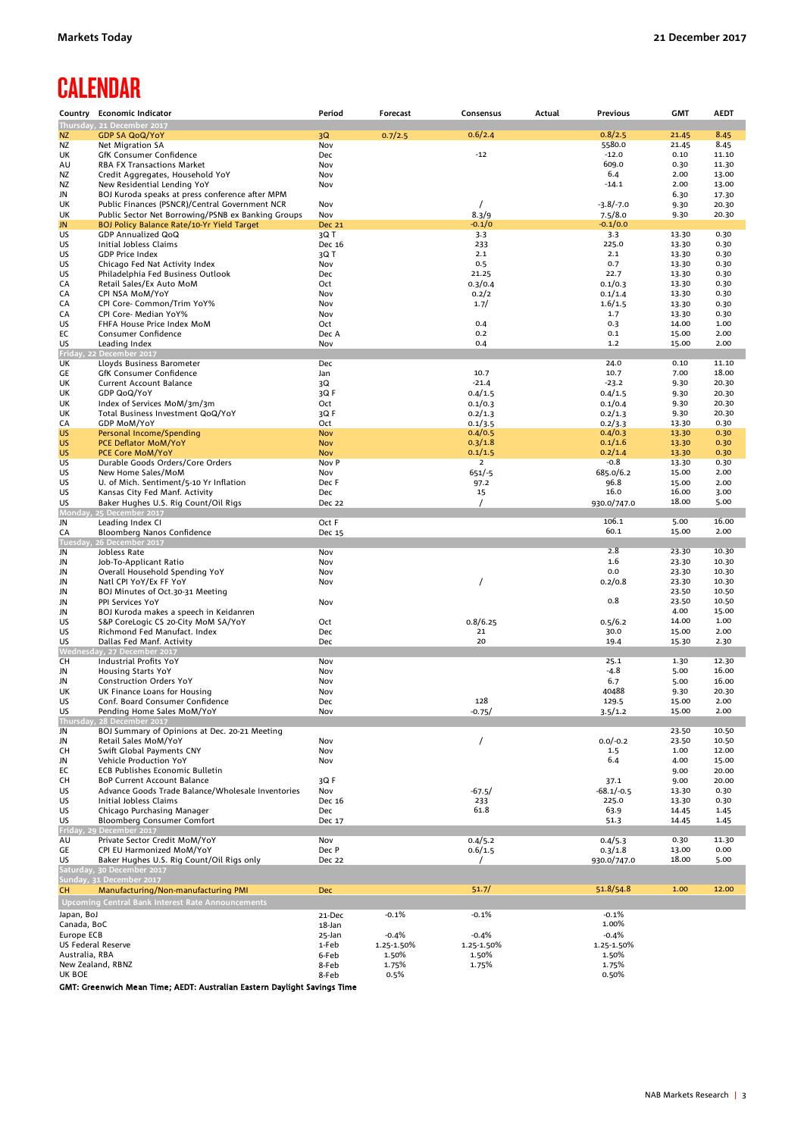# **CALENDAR**

|                    | Country Economic Indicator                                     | Period              | Forecast   | Consensus                 | Actual | Previous           | <b>GMT</b>     | <b>AEDT</b>    |
|--------------------|----------------------------------------------------------------|---------------------|------------|---------------------------|--------|--------------------|----------------|----------------|
|                    | Thursday, 21 December 2017                                     |                     |            |                           |        |                    |                |                |
| NZ                 | <b>GDP SA QoQ/YoY</b>                                          | 3Q                  | 0.7/2.5    | 0.6/2.4                   |        | 0.8/2.5            | 21.45          | 8.45           |
| <b>NZ</b>          | Net Migration SA                                               | Nov                 |            |                           |        | 5580.0             | 21.45          | 8.45           |
| UK                 | GfK Consumer Confidence                                        | Dec                 |            | $-12$                     |        | $-12.0$<br>609.0   | 0.10           | 11.10          |
| AU                 | RBA FX Transactions Market<br>Credit Aggregates, Household YoY | Nov<br>Nov          |            |                           |        | 6.4                | 0.30<br>2.00   | 11.30          |
| ΝZ<br>ΝZ           | New Residential Lending YoY                                    | Nov                 |            |                           |        | $-14.1$            | 2.00           | 13.00<br>13.00 |
| JN                 | BOJ Kuroda speaks at press conference after MPM                |                     |            |                           |        |                    | 6.30           | 17.30          |
| UK                 | Public Finances (PSNCR)/Central Government NCR                 | Nov                 |            | $\prime$                  |        | $-3.8/-7.0$        | 9.30           | 20.30          |
| UK                 | Public Sector Net Borrowing/PSNB ex Banking Groups             | Nov                 |            | 8.3/9                     |        | 7.5/8.0            | 9.30           | 20.30          |
| JN                 | BOJ Policy Balance Rate/10-Yr Yield Target                     | <b>Dec 21</b>       |            | $-0.1/0$                  |        | $-0.1/0.0$         |                |                |
| US                 | GDP Annualized QoQ                                             | 3QT                 |            | 3.3                       |        | 3.3                | 13.30          | 0.30           |
| US                 | Initial Jobless Claims                                         | Dec 16              |            | 233                       |        | 225.0              | 13.30          | 0.30           |
| US                 | <b>GDP Price Index</b>                                         | 3Q T                |            | 2.1                       |        | 2.1                | 13.30          | 0.30           |
| US                 | Chicago Fed Nat Activity Index                                 | Nov                 |            | 0.5                       |        | 0.7                | 13.30          | 0.30           |
| US                 | Philadelphia Fed Business Outlook                              | Dec                 |            | 21.25                     |        | 22.7               | 13.30          | 0.30           |
| CA                 | Retail Sales/Ex Auto MoM                                       | Oct                 |            | 0.3/0.4                   |        | 0.1/0.3            | 13.30          | 0.30           |
| СA                 | CPI NSA MoM/YoY                                                | Nov                 |            | 0.2/2                     |        | 0.1/1.4            | 13.30          | 0.30           |
| CA<br>СA           | CPI Core- Common/Trim YoY%<br>CPI Core- Median YoY%            | Nov<br>Nov          |            | 1.7/                      |        | 1.6/1.5<br>1.7     | 13.30<br>13.30 | 0.30<br>0.30   |
| US                 | FHFA House Price Index MoM                                     | Oct                 |            | 0.4                       |        | 0.3                | 14.00          | 1.00           |
| EС                 | Consumer Confidence                                            | Dec A               |            | 0.2                       |        | 0.1                | 15.00          | 2.00           |
| US                 | Leading Index                                                  | Nov                 |            | 0.4                       |        | 1.2                | 15.00          | 2.00           |
|                    | Friday, 22 December 2017                                       |                     |            |                           |        |                    |                |                |
| UK                 | Lloyds Business Barometer                                      | Dec                 |            |                           |        | 24.0               | 0.10           | 11.10          |
| GE                 | GfK Consumer Confidence                                        | Jan                 |            | 10.7                      |        | 10.7               | 7.00           | 18.00          |
| UK                 | <b>Current Account Balance</b>                                 | 3Q                  |            | $-21.4$                   |        | $-23.2$            | 9.30           | 20.30          |
| UK                 | GDP QoQ/YoY                                                    | 3QF                 |            | 0.4/1.5                   |        | 0.4/1.5            | 9.30           | 20.30          |
| UK                 | Index of Services MoM/3m/3m                                    | Oct                 |            | 0.1/0.3                   |        | 0.1/0.4            | 9.30           | 20.30          |
| UK                 | Total Business Investment QoQ/YoY                              | 3QF                 |            | 0.2/1.3                   |        | 0.2/1.3            | 9.30           | 20.30          |
| CA                 | <b>GDP MoM/YoY</b>                                             | Oct                 |            | 0.1/3.5                   |        | 0.2/3.3            | 13.30          | 0.30           |
| US                 | Personal Income/Spending                                       | <b>Nov</b>          |            | 0.4/0.5                   |        | 0.4/0.3            | 13.30          | 0.30           |
| US                 | PCE Deflator MoM/YoY                                           | <b>Nov</b>          |            | 0.3/1.8                   |        | 0.1/1.6            | 13.30          | 0.30           |
| US<br>US           | PCE Core MoM/YoY                                               | <b>Nov</b><br>Nov P |            | 0.1/1.5<br>$\overline{2}$ |        | 0.2/1.4<br>$-0.8$  | 13.30<br>13.30 | 0.30           |
| US                 | Durable Goods Orders/Core Orders<br>New Home Sales/MoM         | Nov                 |            | $651/-5$                  |        | 685.0/6.2          | 15.00          | 0.30<br>2.00   |
| US                 | U. of Mich. Sentiment/5-10 Yr Inflation                        | Dec F               |            | 97.2                      |        | 96.8               | 15.00          | 2.00           |
| US                 | Kansas City Fed Manf. Activity                                 | Dec                 |            | 15                        |        | 16.0               | 16.00          | 3.00           |
| US                 | Baker Hughes U.S. Rig Count/Oil Rigs                           | Dec 22              |            |                           |        | 930.0/747.0        | 18.00          | 5.00           |
|                    | Monday, 25 December 2017                                       |                     |            |                           |        |                    |                |                |
| JN                 | Leading Index CI                                               | Oct F               |            |                           |        | 106.1              | 5.00           | 16.00          |
| CA                 | Bloomberg Nanos Confidence                                     | Dec 15              |            |                           |        | 60.1               | 15.00          | 2.00           |
| Tuesday            | 26 December 2017                                               |                     |            |                           |        |                    |                |                |
| JN                 | Jobless Rate                                                   | Nov                 |            |                           |        | 2.8                | 23.30          | 10.30          |
| JN                 | Job-To-Applicant Ratio                                         | Nov                 |            |                           |        | 1.6<br>0.0         | 23.30          | 10.30          |
| JN                 | Overall Household Spending YoY                                 | Nov                 |            |                           |        |                    | 23.30<br>23.30 | 10.30<br>10.30 |
| JN<br>JN           | Natl CPI YoY/Ex FF YoY<br>BOJ Minutes of Oct.30-31 Meeting     | Nov                 |            |                           |        | 0.2/0.8            | 23.50          | 10.50          |
| JN                 | PPI Services YoY                                               | Nov                 |            |                           |        | 0.8                | 23.50          | 10.50          |
| JN                 | BOJ Kuroda makes a speech in Keidanren                         |                     |            |                           |        |                    | 4.00           | 15.00          |
| US                 | S&P CoreLogic CS 20-City MoM SA/YoY                            | Oct                 |            | 0.8/6.25                  |        | 0.5/6.2            | 14.00          | 1.00           |
| US                 | Richmond Fed Manufact. Index                                   | Dec                 |            | 21                        |        | 30.0               | 15.00          | 2.00           |
| US                 | Dallas Fed Manf. Activity                                      | Dec                 |            | 20                        |        | 19.4               | 15.30          | 2.30           |
|                    | Wednesday, 27 December 2017                                    |                     |            |                           |        |                    |                |                |
| сн                 | Industrial Profits YoY                                         | Nov                 |            |                           |        | 25.1               | 1.30           | 12.30          |
| JN                 | <b>Housing Starts YoY</b>                                      | Nov                 |            |                           |        | $-4.8$             | 5.00           | 16.00          |
| JN                 | <b>Construction Orders YoY</b>                                 | Nov                 |            |                           |        | 6.7                | 5.00           | 16.00          |
| UK                 | UK Finance Loans for Housing                                   | Nov                 |            |                           |        | 40488              | 9.30           | 20.30          |
| US                 | Conf. Board Consumer Confidence                                | Dec                 |            | 128                       |        | 129.5              | 15.00          | 2.00           |
| US                 | Pending Home Sales MoM/YoY<br>Thursday, 28 December 2017       | Nov                 |            | $-0.75/$                  |        | 3.5/1.2            | 15.00          | 2.00           |
| JN                 | BOJ Summary of Opinions at Dec. 20-21 Meeting                  |                     |            |                           |        |                    | 23.50          | 10.50          |
| JN                 | Retail Sales MoM/YoY                                           | Nov                 |            |                           |        | $0.0/-0.2$         | 23.50          | 10.50          |
| CН                 | Swift Global Payments CNY                                      | Nov                 |            |                           |        | 1.5                | 1.00           | 12.00          |
| JN                 | Vehicle Production YoY                                         | Nov                 |            |                           |        | 6.4                | 4.00           | 15.00          |
| EС                 | <b>ECB Publishes Economic Bulletin</b>                         |                     |            |                           |        |                    | 9.00           | 20.00          |
| CН                 | BoP Current Account Balance                                    | 3QF                 |            |                           |        | 37.1               | 9.00           | 20.00          |
| US                 | Advance Goods Trade Balance/Wholesale Inventories              | Nov                 |            | $-67.5/$                  |        | $-68.1/-0.5$       | 13.30          | 0.30           |
| US                 | Initial Jobless Claims                                         | Dec 16              |            | 233                       |        | 225.0              | 13.30          | 0.30           |
| US                 | Chicago Purchasing Manager                                     | Dec                 |            | 61.8                      |        | 63.9               | 14.45          | 1.45           |
| US                 | Bloomberg Consumer Comfort                                     | Dec 17              |            |                           |        | 51.3               | 14.45          | 1.45           |
| AU                 | Friday, 29 December 2017<br>Private Sector Credit MoM/YoY      | Nov                 |            |                           |        |                    | 0.30           | 11.30          |
| GE                 | CPI EU Harmonized MoM/YoY                                      | Dec P               |            | 0.4/5.2<br>0.6/1.5        |        | 0.4/5.3<br>0.3/1.8 | 13.00          | 0.00           |
| US                 | Baker Hughes U.S. Rig Count/Oil Rigs only                      | Dec 22              |            |                           |        | 930.0/747.0        | 18.00          | 5.00           |
|                    | Saturday, 30 December 2017                                     |                     |            |                           |        |                    |                |                |
|                    | Sunday, 31 December 2017                                       |                     |            |                           |        |                    |                |                |
| CH.                | Manufacturing/Non-manufacturing PMI                            | Dec                 |            | 51.7/                     |        | 51.8/54.8          | 1.00           | 12.00          |
|                    | <b>Upcoming Central Bank Interest Rate Announcements</b>       |                     |            |                           |        |                    |                |                |
| Japan, BoJ         |                                                                | 21-Dec              | $-0.1%$    | $-0.1%$                   |        | $-0.1%$            |                |                |
| Canada, BoC        |                                                                | 18-Jan              |            |                           |        | 1.00%              |                |                |
| Europe ECB         |                                                                | 25-Jan              | $-0.4%$    | $-0.4%$                   |        | $-0.4%$            |                |                |
| US Federal Reserve |                                                                | 1-Feb               | 1.25-1.50% | 1.25-1.50%                |        | 1.25-1.50%         |                |                |
| Australia, RBA     |                                                                | 6-Feb               | 1.50%      | 1.50%                     |        | 1.50%              |                |                |
| New Zealand, RBNZ  |                                                                | 8-Feb               | 1.75%      | 1.75%                     |        | 1.75%              |                |                |
| UK BOE             |                                                                | 8-Feb               | 0.5%       |                           |        | 0.50%              |                |                |

GMT: Greenwich Mean Time; AEDT: Australian Eastern Daylight Savings Time